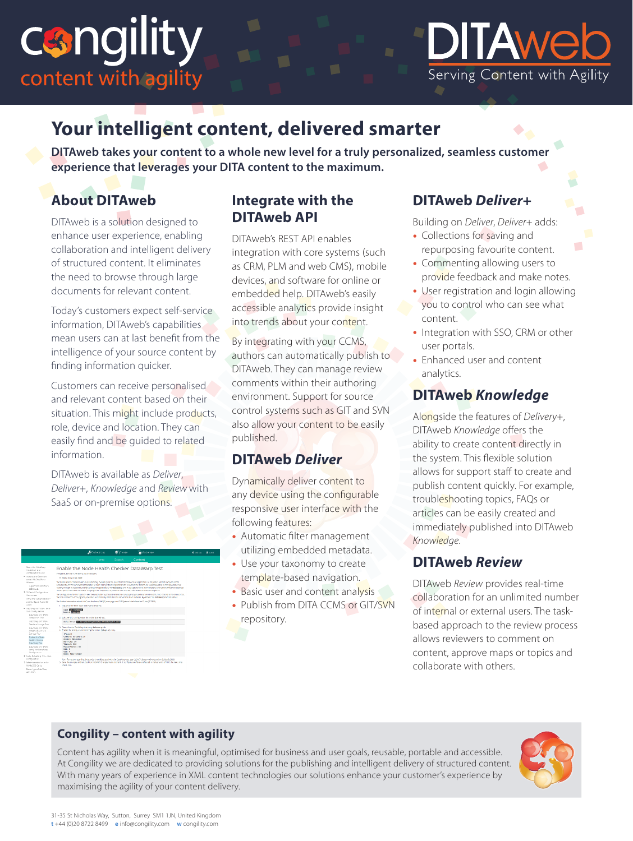



# **Your intelligent content, delivered smarter**

**DITAweb takes your content to a whole new level for a truly personalized, seamless customer experience that leverages your DITA content to the maximum.**

# **About DITAweb**

DITAweb is a solution designed to enhance user experience, enabling collaboration and intelligent delivery of structured content. It eliminates the need to browse through large documents for relevant content.

Today's customers expect self-service information, DITAweb's capabilities mean users can at last benefit from the intelligence of your source content by finding information quicker.

Customers can receive personalised and relevant content based on their situation. This might include products, role, device and location. They can easily find and be guided to related information.

DITAweb is available as *Deliver*, *Deliver+*, *Knowledge* and *Review* with SaaS or on-premise options.



### **Integrate with the DITAweb API**

DITAweb's REST API enables integration with core systems (such as CRM, PLM and web CMS), mobile devices, and software for online or embedded help. DITAweb's easily accessible analytics provide insight into trends about your content.

By integrating with your CCMS, authors can automatically publish to DITAweb. They can manage review comments within their authoring environment. Support for source control systems such as GIT and SVN also allow your content to be easily published.

## **DITAweb** *Deliver*

Dynamically deliver content to any device using the configurable responsive user interface with the following features:

- Automatic filter management utilizing embedded metadata.
- Use your taxonomy to create template-based navigation.
- Basic user and content analysis
- Publish from DITA CCMS or GIT/SVN repository.

## **DITAweb** *Deliver+*

Building on *Deliver*, *Deliver+* adds:

- Collections for saving and repurposing favourite content.
- Commenting allowing users to provide feedback and make notes.

 $\mathcal{L}_{\mathcal{A}}$ 

- User registration and login allowing you to control who can see what content.
- Integration with SSO, CRM or other user portals.
- Enhanced user and content analytics.

## **DITAweb** *Knowledge*

Alongside the features of *Delivery+*, DITAweb *Knowledge* offers the ability to create content directly in the system. This flexible solution allows for support staff to create and publish content quickly. For example, troubleshooting topics, FAQs or articles can be easily created and immediately published into DITAweb *Knowledge*.

### **DITAweb** *Review*

DITAweb *Review* provides real-time collaboration for an unlimited number of internal or external users. The taskbased approach to the review process allows reviewers to comment on content, approve maps or topics and collaborate with others.

#### **Congility – content with agility**

Content has agility when it is meaningful, optimised for business and user goals, reusable, portable and accessible. At Congility we are dedicated to providing solutions for the publishing and intelligent delivery of structured content. With many years of experience in XML content technologies our solutions enhance your customer's experience by maximising the agility of your content delivery.